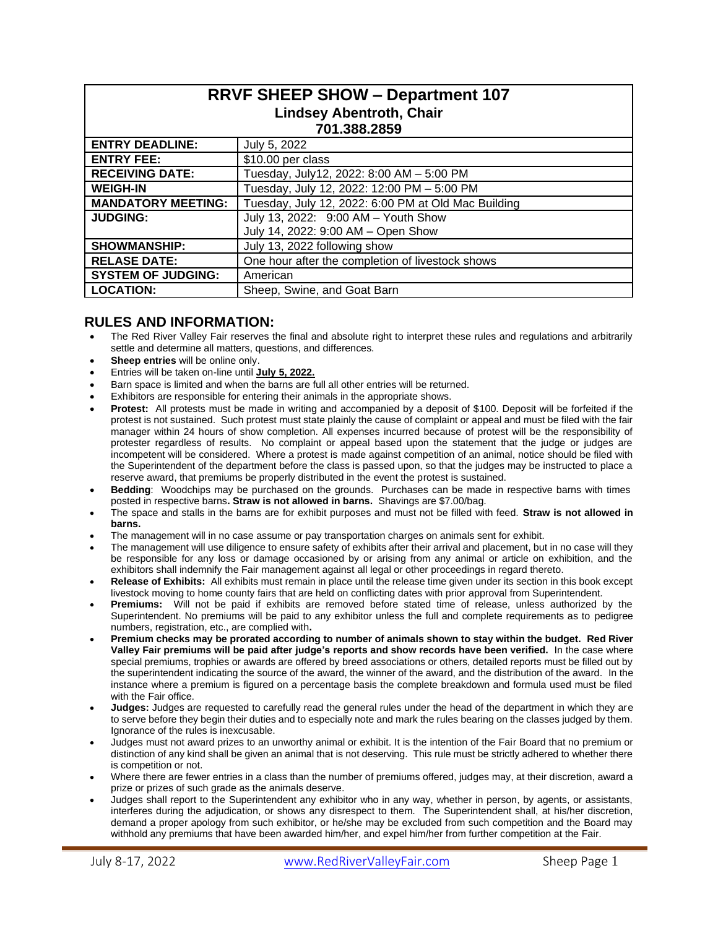| <b>RRVF SHEEP SHOW - Department 107</b> |                                                     |  |  |  |  |
|-----------------------------------------|-----------------------------------------------------|--|--|--|--|
| <b>Lindsey Abentroth, Chair</b>         |                                                     |  |  |  |  |
| 701.388.2859                            |                                                     |  |  |  |  |
| <b>ENTRY DEADLINE:</b>                  | July 5, 2022                                        |  |  |  |  |
| <b>ENTRY FEE:</b>                       | \$10.00 per class                                   |  |  |  |  |
| <b>RECEIVING DATE:</b>                  | Tuesday, July12, 2022: 8:00 AM - 5:00 PM            |  |  |  |  |
| <b>WEIGH-IN</b>                         | Tuesday, July 12, 2022: 12:00 PM - 5:00 PM          |  |  |  |  |
| <b>MANDATORY MEETING:</b>               | Tuesday, July 12, 2022: 6:00 PM at Old Mac Building |  |  |  |  |
| <b>JUDGING:</b>                         | July 13, 2022: 9:00 AM - Youth Show                 |  |  |  |  |
|                                         | July 14, 2022: 9:00 AM - Open Show                  |  |  |  |  |
| <b>SHOWMANSHIP:</b>                     | July 13, 2022 following show                        |  |  |  |  |
| <b>RELASE DATE:</b>                     | One hour after the completion of livestock shows    |  |  |  |  |
| <b>SYSTEM OF JUDGING:</b>               | American                                            |  |  |  |  |
| <b>LOCATION:</b>                        | Sheep, Swine, and Goat Barn                         |  |  |  |  |

# **RULES AND INFORMATION:**

- The Red River Valley Fair reserves the final and absolute right to interpret these rules and regulations and arbitrarily settle and determine all matters, questions, and differences.
- **Sheep entries** will be online only.
- Entries will be taken on-line until **July 5, 2022.**
- Barn space is limited and when the barns are full all other entries will be returned.
- Exhibitors are responsible for entering their animals in the appropriate shows.
- **Protest:** All protests must be made in writing and accompanied by a deposit of \$100. Deposit will be forfeited if the protest is not sustained. Such protest must state plainly the cause of complaint or appeal and must be filed with the fair manager within 24 hours of show completion. All expenses incurred because of protest will be the responsibility of protester regardless of results. No complaint or appeal based upon the statement that the judge or judges are incompetent will be considered. Where a protest is made against competition of an animal, notice should be filed with the Superintendent of the department before the class is passed upon, so that the judges may be instructed to place a reserve award, that premiums be properly distributed in the event the protest is sustained.
- **Bedding**: Woodchips may be purchased on the grounds. Purchases can be made in respective barns with times posted in respective barns**. Straw is not allowed in barns.** Shavings are \$7.00/bag.
- The space and stalls in the barns are for exhibit purposes and must not be filled with feed. **Straw is not allowed in barns.**
- The management will in no case assume or pay transportation charges on animals sent for exhibit.
- The management will use diligence to ensure safety of exhibits after their arrival and placement, but in no case will they be responsible for any loss or damage occasioned by or arising from any animal or article on exhibition, and the exhibitors shall indemnify the Fair management against all legal or other proceedings in regard thereto.
- **Release of Exhibits:** All exhibits must remain in place until the release time given under its section in this book except livestock moving to home county fairs that are held on conflicting dates with prior approval from Superintendent.
- **Premiums:** Will not be paid if exhibits are removed before stated time of release, unless authorized by the Superintendent. No premiums will be paid to any exhibitor unless the full and complete requirements as to pedigree numbers, registration, etc., are complied with**.**
- **Premium checks may be prorated according to number of animals shown to stay within the budget. Red River Valley Fair premiums will be paid after judge's reports and show records have been verified.** In the case where special premiums, trophies or awards are offered by breed associations or others, detailed reports must be filled out by the superintendent indicating the source of the award, the winner of the award, and the distribution of the award. In the instance where a premium is figured on a percentage basis the complete breakdown and formula used must be filed with the Fair office.
- **Judges:** Judges are requested to carefully read the general rules under the head of the department in which they are to serve before they begin their duties and to especially note and mark the rules bearing on the classes judged by them. Ignorance of the rules is inexcusable.
- Judges must not award prizes to an unworthy animal or exhibit. It is the intention of the Fair Board that no premium or distinction of any kind shall be given an animal that is not deserving. This rule must be strictly adhered to whether there is competition or not.
- Where there are fewer entries in a class than the number of premiums offered, judges may, at their discretion, award a prize or prizes of such grade as the animals deserve.
- Judges shall report to the Superintendent any exhibitor who in any way, whether in person, by agents, or assistants, interferes during the adjudication, or shows any disrespect to them. The Superintendent shall, at his/her discretion, demand a proper apology from such exhibitor, or he/she may be excluded from such competition and the Board may withhold any premiums that have been awarded him/her, and expel him/her from further competition at the Fair.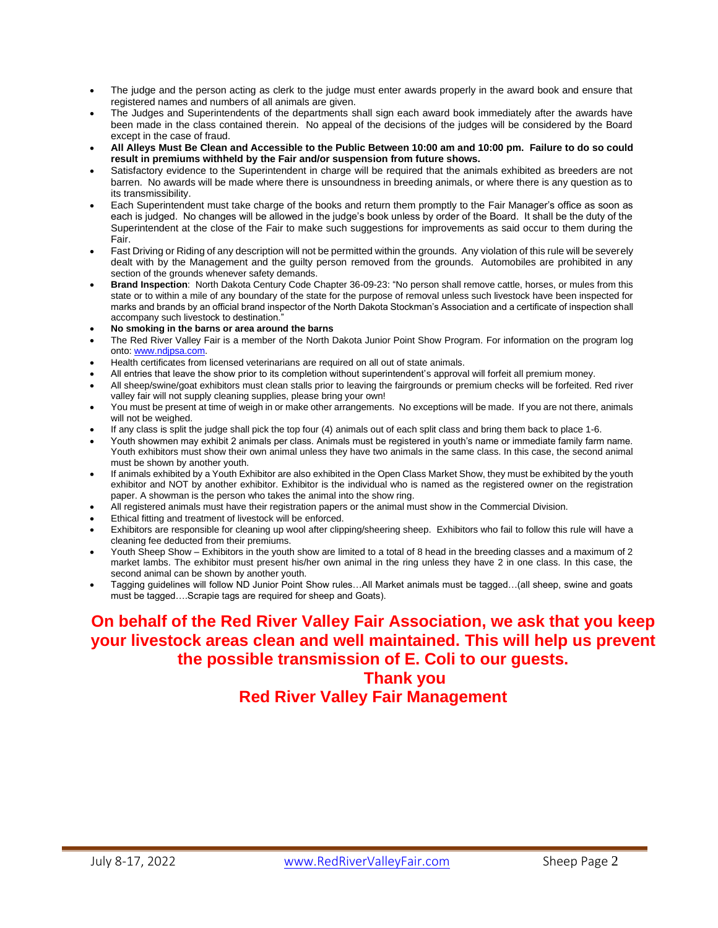- The judge and the person acting as clerk to the judge must enter awards properly in the award book and ensure that registered names and numbers of all animals are given.
- The Judges and Superintendents of the departments shall sign each award book immediately after the awards have been made in the class contained therein. No appeal of the decisions of the judges will be considered by the Board except in the case of fraud.
- **All Alleys Must Be Clean and Accessible to the Public Between 10:00 am and 10:00 pm. Failure to do so could result in premiums withheld by the Fair and/or suspension from future shows.**
- Satisfactory evidence to the Superintendent in charge will be required that the animals exhibited as breeders are not barren. No awards will be made where there is unsoundness in breeding animals, or where there is any question as to its transmissibility.
- Each Superintendent must take charge of the books and return them promptly to the Fair Manager's office as soon as each is judged. No changes will be allowed in the judge's book unless by order of the Board. It shall be the duty of the Superintendent at the close of the Fair to make such suggestions for improvements as said occur to them during the Fair.
- Fast Driving or Riding of any description will not be permitted within the grounds. Any violation of this rule will be severely dealt with by the Management and the guilty person removed from the grounds. Automobiles are prohibited in any section of the grounds whenever safety demands.
- **Brand Inspection**: North Dakota Century Code Chapter 36-09-23: "No person shall remove cattle, horses, or mules from this state or to within a mile of any boundary of the state for the purpose of removal unless such livestock have been inspected for marks and brands by an official brand inspector of the North Dakota Stockman's Association and a certificate of inspection shall accompany such livestock to destination."
- **No smoking in the barns or area around the barns**
- The Red River Valley Fair is a member of the North Dakota Junior Point Show Program. For information on the program log onto: [www.ndjpsa.com.](http://www.ndjpsa.com/)
- Health certificates from licensed veterinarians are required on all out of state animals.
- All entries that leave the show prior to its completion without superintendent's approval will forfeit all premium money.
- All sheep/swine/goat exhibitors must clean stalls prior to leaving the fairgrounds or premium checks will be forfeited. Red river valley fair will not supply cleaning supplies, please bring your own!
- You must be present at time of weigh in or make other arrangements. No exceptions will be made. If you are not there, animals will not be weighed.
- If any class is split the judge shall pick the top four (4) animals out of each split class and bring them back to place 1-6.
- Youth showmen may exhibit 2 animals per class. Animals must be registered in youth's name or immediate family farm name. Youth exhibitors must show their own animal unless they have two animals in the same class. In this case, the second animal must be shown by another youth.
- If animals exhibited by a Youth Exhibitor are also exhibited in the Open Class Market Show, they must be exhibited by the youth exhibitor and NOT by another exhibitor. Exhibitor is the individual who is named as the registered owner on the registration paper. A showman is the person who takes the animal into the show ring.
- All registered animals must have their registration papers or the animal must show in the Commercial Division.
- Ethical fitting and treatment of livestock will be enforced.
- Exhibitors are responsible for cleaning up wool after clipping/sheering sheep. Exhibitors who fail to follow this rule will have a cleaning fee deducted from their premiums.
- Youth Sheep Show Exhibitors in the youth show are limited to a total of 8 head in the breeding classes and a maximum of 2 market lambs. The exhibitor must present his/her own animal in the ring unless they have 2 in one class. In this case, the second animal can be shown by another youth.
- Tagging guidelines will follow ND Junior Point Show rules…All Market animals must be tagged…(all sheep, swine and goats must be tagged….Scrapie tags are required for sheep and Goats).

# **On behalf of the Red River Valley Fair Association, we ask that you keep your livestock areas clean and well maintained. This will help us prevent the possible transmission of E. Coli to our guests.**

# **Thank you Red River Valley Fair Management**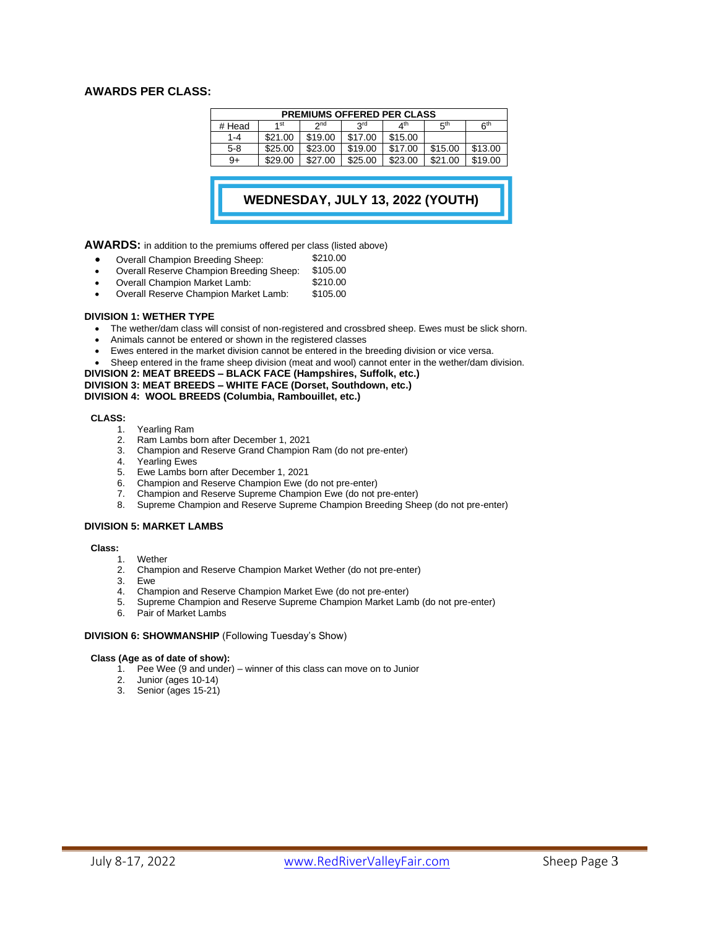# **AWARDS PER CLASS:**

| <b>PREMIUMS OFFERED PER CLASS</b> |         |                 |            |                       |                 |                 |  |  |
|-----------------------------------|---------|-----------------|------------|-----------------------|-----------------|-----------------|--|--|
| # Head                            | 1 st    | 2 <sub>nd</sub> | <b>SLG</b> | $\Lambda^{\text{th}}$ | 5 <sup>th</sup> | 6 <sup>th</sup> |  |  |
| $1 - 4$                           | \$21.00 | \$19.00         | \$17.00    | \$15.00               |                 |                 |  |  |
| $5-8$                             | \$25.00 | \$23.00         | \$19.00    | \$17.00               | \$15.00         | \$13.00         |  |  |
| 9+                                | \$29.00 | \$27.00         | \$25.00    | \$23.00               | \$21.00         | \$19.00         |  |  |

# **WEDNESDAY, JULY 13, 2022 (YOUTH) SHOW)**

**AWARDS:** in addition to the premiums offered per class (listed above)

- 
- Overall Champion Breeding Sheep: \$210.00
- Overall Reserve Champion Breeding Sheep: \$105.00 • Overall Champion Market Lamb:
- Overall Reserve Champion Market Lamb: \$105.00

### **DIVISION 1: WETHER TYPE**

- The wether/dam class will consist of non-registered and crossbred sheep. Ewes must be slick shorn.
- Animals cannot be entered or shown in the registered classes
- Ewes entered in the market division cannot be entered in the breeding division or vice versa.
- Sheep entered in the frame sheep division (meat and wool) cannot enter in the wether/dam division.

# **DIVISION 2: MEAT BREEDS – BLACK FACE (Hampshires, Suffolk, etc.) DIVISION 3: MEAT BREEDS – WHITE FACE (Dorset, Southdown, etc.)**

# **DIVISION 4: WOOL BREEDS (Columbia, Rambouillet, etc.)**

### **CLASS:**

- 1. Yearling Ram<br>2. Ram Lambs b
- 2. Ram Lambs born after December 1, 2021
- 3. Champion and Reserve Grand Champion Ram (do not pre-enter)
- 4. Yearling Ewes
- 
- 5. Ewe Lambs born after December 1, 2021 6. Champion and Reserve Champion Ewe (do not pre-enter)
- 7. Champion and Reserve Supreme Champion Ewe (do not pre-enter)
- 8. Supreme Champion and Reserve Supreme Champion Breeding Sheep (do not pre-enter)

### **DIVISION 5: MARKET LAMBS**

#### **Class:**

- 
- 1. Wether<br>2. Champ 2. Champion and Reserve Champion Market Wether (do not pre-enter)
- 3. Ewe
- 4. Champion and Reserve Champion Market Ewe (do not pre-enter)
- 5. Supreme Champion and Reserve Supreme Champion Market Lamb (do not pre-enter)
- 6. Pair of Market Lambs

## **DIVISION 6: SHOWMANSHIP** (Following Tuesday's Show)

#### **Class (Age as of date of show):**

- 1. Pee Wee (9 and under) winner of this class can move on to Junior
- 2. Junior (ages 10-14)
- 3. Senior (ages 15-21)